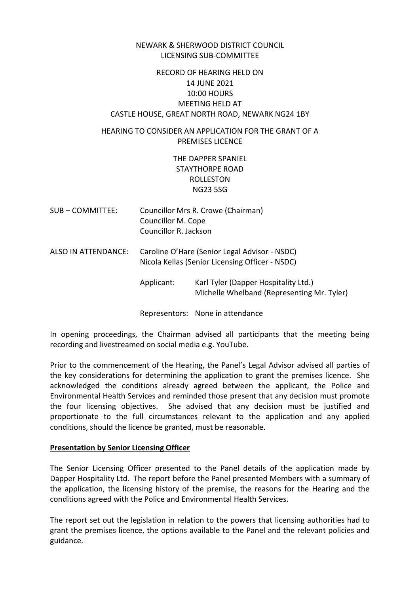#### NEWARK & SHERWOOD DISTRICT COUNCIL LICENSING SUB-COMMITTEE

# RECORD OF HEARING HELD ON 14 JUNE 2021 10:00 HOURS MEETING HELD AT CASTLE HOUSE, GREAT NORTH ROAD, NEWARK NG24 1BY

# HEARING TO CONSIDER AN APPLICATION FOR THE GRANT OF A PREMISES LICENCE

# THE DAPPER SPANIEL STAYTHORPE ROAD ROLLESTON NG23 5SG

- SUB COMMITTEE: Councillor Mrs R. Crowe (Chairman) Councillor M. Cope Councillor R. Jackson
- ALSO IN ATTENDANCE: Caroline O'Hare (Senior Legal Advisor NSDC) Nicola Kellas (Senior Licensing Officer - NSDC)
	- Applicant: Karl Tyler (Dapper Hospitality Ltd.) Michelle Whelband (Representing Mr. Tyler)

Representors: None in attendance

In opening proceedings, the Chairman advised all participants that the meeting being recording and livestreamed on social media e.g. YouTube.

Prior to the commencement of the Hearing, the Panel's Legal Advisor advised all parties of the key considerations for determining the application to grant the premises licence. She acknowledged the conditions already agreed between the applicant, the Police and Environmental Health Services and reminded those present that any decision must promote the four licensing objectives. She advised that any decision must be justified and proportionate to the full circumstances relevant to the application and any applied conditions, should the licence be granted, must be reasonable.

#### **Presentation by Senior Licensing Officer**

The Senior Licensing Officer presented to the Panel details of the application made by Dapper Hospitality Ltd. The report before the Panel presented Members with a summary of the application, the licensing history of the premise, the reasons for the Hearing and the conditions agreed with the Police and Environmental Health Services.

The report set out the legislation in relation to the powers that licensing authorities had to grant the premises licence, the options available to the Panel and the relevant policies and guidance.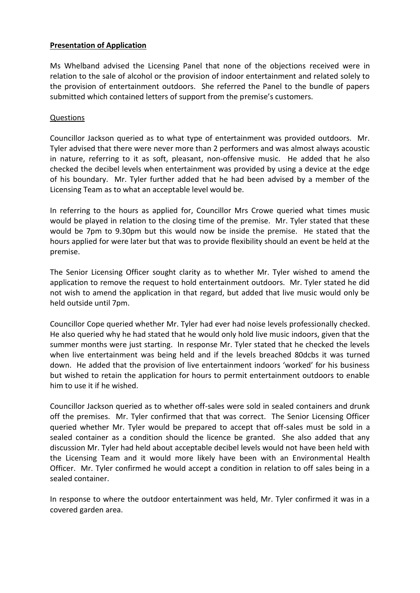## **Presentation of Application**

Ms Whelband advised the Licensing Panel that none of the objections received were in relation to the sale of alcohol or the provision of indoor entertainment and related solely to the provision of entertainment outdoors. She referred the Panel to the bundle of papers submitted which contained letters of support from the premise's customers.

## Questions

Councillor Jackson queried as to what type of entertainment was provided outdoors. Mr. Tyler advised that there were never more than 2 performers and was almost always acoustic in nature, referring to it as soft, pleasant, non-offensive music. He added that he also checked the decibel levels when entertainment was provided by using a device at the edge of his boundary. Mr. Tyler further added that he had been advised by a member of the Licensing Team as to what an acceptable level would be.

In referring to the hours as applied for, Councillor Mrs Crowe queried what times music would be played in relation to the closing time of the premise. Mr. Tyler stated that these would be 7pm to 9.30pm but this would now be inside the premise. He stated that the hours applied for were later but that was to provide flexibility should an event be held at the premise.

The Senior Licensing Officer sought clarity as to whether Mr. Tyler wished to amend the application to remove the request to hold entertainment outdoors. Mr. Tyler stated he did not wish to amend the application in that regard, but added that live music would only be held outside until 7pm.

Councillor Cope queried whether Mr. Tyler had ever had noise levels professionally checked. He also queried why he had stated that he would only hold live music indoors, given that the summer months were just starting. In response Mr. Tyler stated that he checked the levels when live entertainment was being held and if the levels breached 80dcbs it was turned down. He added that the provision of live entertainment indoors 'worked' for his business but wished to retain the application for hours to permit entertainment outdoors to enable him to use it if he wished.

Councillor Jackson queried as to whether off-sales were sold in sealed containers and drunk off the premises. Mr. Tyler confirmed that that was correct. The Senior Licensing Officer queried whether Mr. Tyler would be prepared to accept that off-sales must be sold in a sealed container as a condition should the licence be granted. She also added that any discussion Mr. Tyler had held about acceptable decibel levels would not have been held with the Licensing Team and it would more likely have been with an Environmental Health Officer. Mr. Tyler confirmed he would accept a condition in relation to off sales being in a sealed container.

In response to where the outdoor entertainment was held, Mr. Tyler confirmed it was in a covered garden area.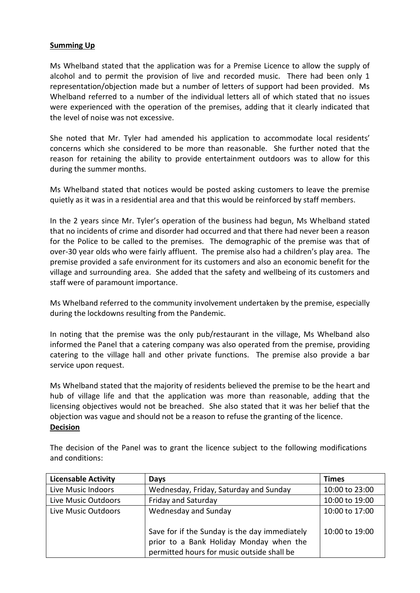## **Summing Up**

Ms Whelband stated that the application was for a Premise Licence to allow the supply of alcohol and to permit the provision of live and recorded music. There had been only 1 representation/objection made but a number of letters of support had been provided. Ms Whelband referred to a number of the individual letters all of which stated that no issues were experienced with the operation of the premises, adding that it clearly indicated that the level of noise was not excessive.

She noted that Mr. Tyler had amended his application to accommodate local residents' concerns which she considered to be more than reasonable. She further noted that the reason for retaining the ability to provide entertainment outdoors was to allow for this during the summer months.

Ms Whelband stated that notices would be posted asking customers to leave the premise quietly as it was in a residential area and that this would be reinforced by staff members.

In the 2 years since Mr. Tyler's operation of the business had begun, Ms Whelband stated that no incidents of crime and disorder had occurred and that there had never been a reason for the Police to be called to the premises. The demographic of the premise was that of over-30 year olds who were fairly affluent. The premise also had a children's play area. The premise provided a safe environment for its customers and also an economic benefit for the village and surrounding area. She added that the safety and wellbeing of its customers and staff were of paramount importance.

Ms Whelband referred to the community involvement undertaken by the premise, especially during the lockdowns resulting from the Pandemic.

In noting that the premise was the only pub/restaurant in the village, Ms Whelband also informed the Panel that a catering company was also operated from the premise, providing catering to the village hall and other private functions. The premise also provide a bar service upon request.

Ms Whelband stated that the majority of residents believed the premise to be the heart and hub of village life and that the application was more than reasonable, adding that the licensing objectives would not be breached. She also stated that it was her belief that the objection was vague and should not be a reason to refuse the granting of the licence. **Decision**

| <b>Licensable Activity</b> | <b>Days</b>                                                                                                                            | <b>Times</b>   |
|----------------------------|----------------------------------------------------------------------------------------------------------------------------------------|----------------|
| Live Music Indoors         | Wednesday, Friday, Saturday and Sunday                                                                                                 | 10:00 to 23:00 |
| Live Music Outdoors        | Friday and Saturday                                                                                                                    | 10:00 to 19:00 |
| Live Music Outdoors        | Wednesday and Sunday                                                                                                                   | 10:00 to 17:00 |
|                            | Save for if the Sunday is the day immediately<br>prior to a Bank Holiday Monday when the<br>permitted hours for music outside shall be | 10:00 to 19:00 |

The decision of the Panel was to grant the licence subject to the following modifications and conditions: